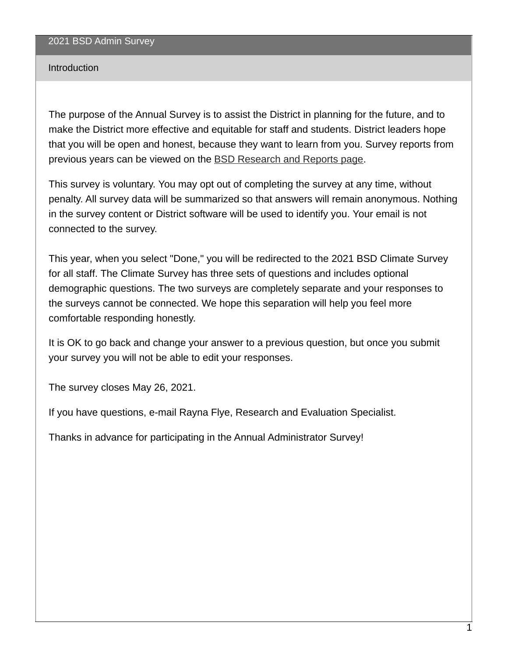#### Introduction

The purpose of the Annual Survey is to assist the District in planning for the future, and to make the District more effective and equitable for staff and students. District leaders hope that you will be open and honest, because they want to learn from you. Survey reports from previous years can be viewed on the BSD [Research](https://www.beaverton.k12.or.us/departments/accountabiity/research-reports) and Reports page.

This survey is voluntary. You may opt out of completing the survey at any time, without penalty. All survey data will be summarized so that answers will remain anonymous. Nothing in the survey content or District software will be used to identify you. Your email is not connected to the survey.

This year, when you select "Done," you will be redirected to the 2021 BSD Climate Survey for all staff. The Climate Survey has three sets of questions and includes optional demographic questions. The two surveys are completely separate and your responses to the surveys cannot be connected. We hope this separation will help you feel more comfortable responding honestly.

It is OK to go back and change your answer to a previous question, but once you submit your survey you will not be able to edit your responses.

The survey closes May 26, 2021.

If you have questions, e-mail Rayna Flye, Research and Evaluation Specialist.

Thanks in advance for participating in the Annual Administrator Survey!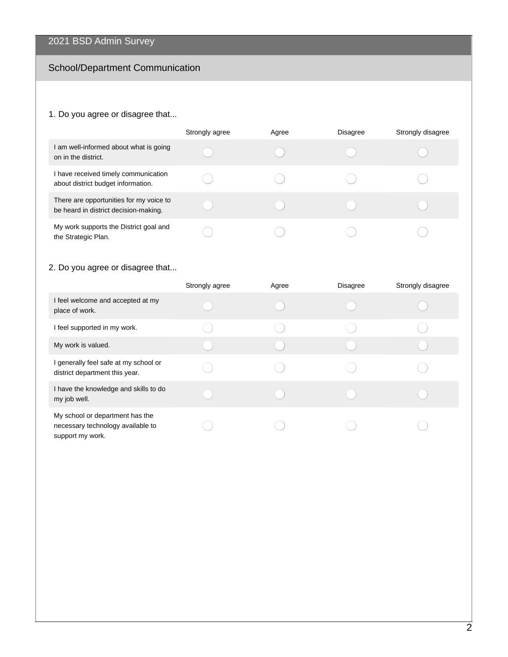## School/Department Communication

## 1. Do you agree or disagree that...

|                                                                                  | Strongly agree | Agree | <b>Disagree</b> | Strongly disagree |
|----------------------------------------------------------------------------------|----------------|-------|-----------------|-------------------|
| I am well-informed about what is going<br>on in the district.                    |                |       |                 |                   |
| I have received timely communication<br>about district budget information.       |                |       |                 |                   |
| There are opportunities for my voice to<br>be heard in district decision-making. |                |       |                 |                   |
| My work supports the District goal and<br>the Strategic Plan.                    |                |       |                 |                   |

## 2. Do you agree or disagree that...

|                                                                                          | Strongly agree | Agree | <b>Disagree</b> | Strongly disagree |
|------------------------------------------------------------------------------------------|----------------|-------|-----------------|-------------------|
| I feel welcome and accepted at my<br>place of work.                                      |                |       |                 |                   |
| I feel supported in my work.                                                             |                |       |                 |                   |
| My work is valued.                                                                       |                |       |                 |                   |
| I generally feel safe at my school or<br>district department this year.                  |                |       |                 |                   |
| I have the knowledge and skills to do<br>my job well.                                    |                |       |                 |                   |
| My school or department has the<br>necessary technology available to<br>support my work. |                |       |                 |                   |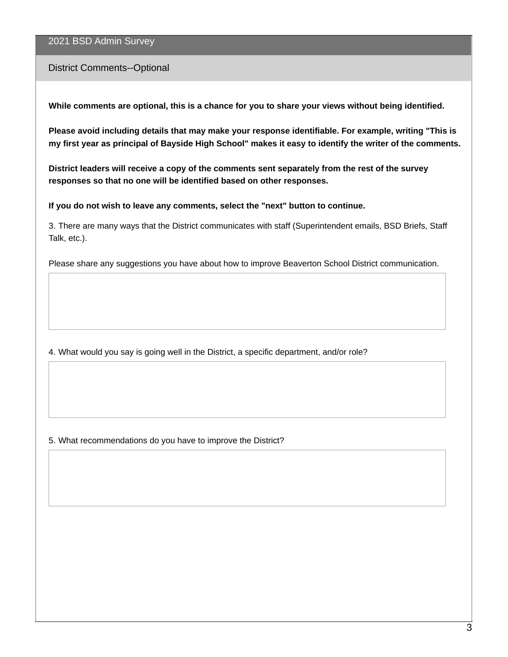#### District Comments--Optional

**While comments are optional, this is a chance for you to share your views without being identified.**

**Please avoid including details that may make your response identifiable. For example, writing "This is** my first year as principal of Bayside High School" makes it easy to identify the writer of the comments.

**District leaders will receive a copy of the comments sent separately from the rest of the survey responses so that no one will be identified based on other responses.**

**If you do not wish to leave any comments, select the "next" button to continue.**

3. There are many ways that the District communicates with staff (Superintendent emails, BSD Briefs, Staff Talk, etc.).

Please share any suggestions you have about how to improve Beaverton School District communication.

4. What would you say is going well in the District, a specific department, and/or role?

5. What recommendations do you have to improve the District?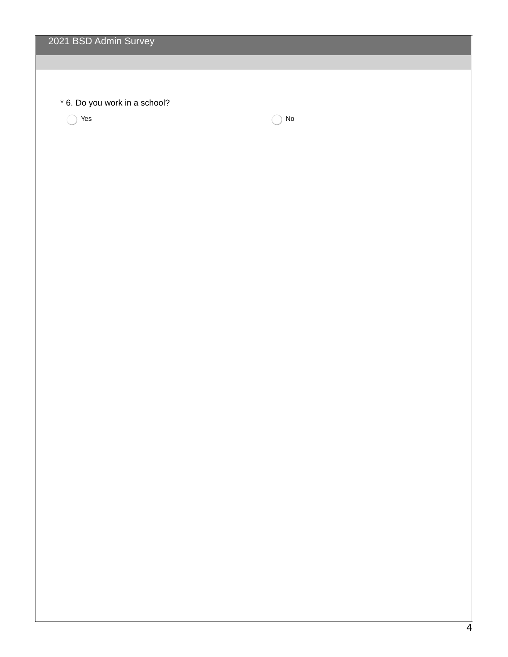| 2021 BSD Admin Survey                |    |  |
|--------------------------------------|----|--|
|                                      |    |  |
|                                      |    |  |
| * 6. Do you work in a school?<br>Yes | No |  |
|                                      |    |  |
|                                      |    |  |
|                                      |    |  |
|                                      |    |  |
|                                      |    |  |
|                                      |    |  |
|                                      |    |  |
|                                      |    |  |
|                                      |    |  |
|                                      |    |  |
|                                      |    |  |
|                                      |    |  |
|                                      |    |  |
|                                      |    |  |
|                                      |    |  |
|                                      |    |  |
|                                      |    |  |
|                                      |    |  |
|                                      |    |  |
|                                      |    |  |
|                                      |    |  |
|                                      |    |  |
|                                      |    |  |
|                                      |    |  |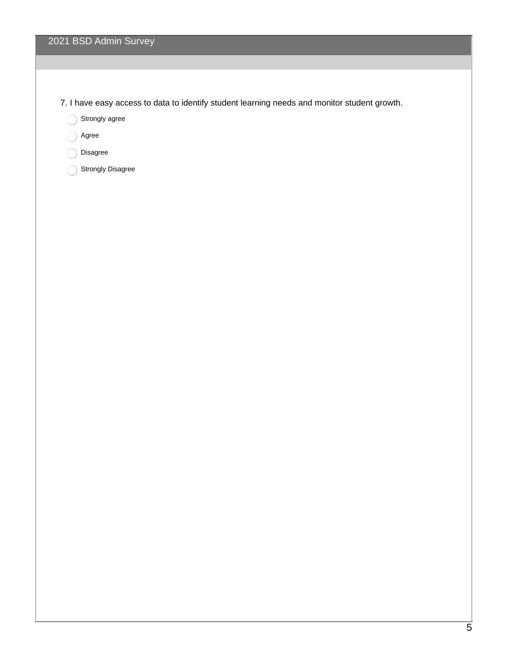7. I have easy access to data to identify student learning needs and monitor student growth.

Strongly agree

Agree

Disagree

Strongly Disagree